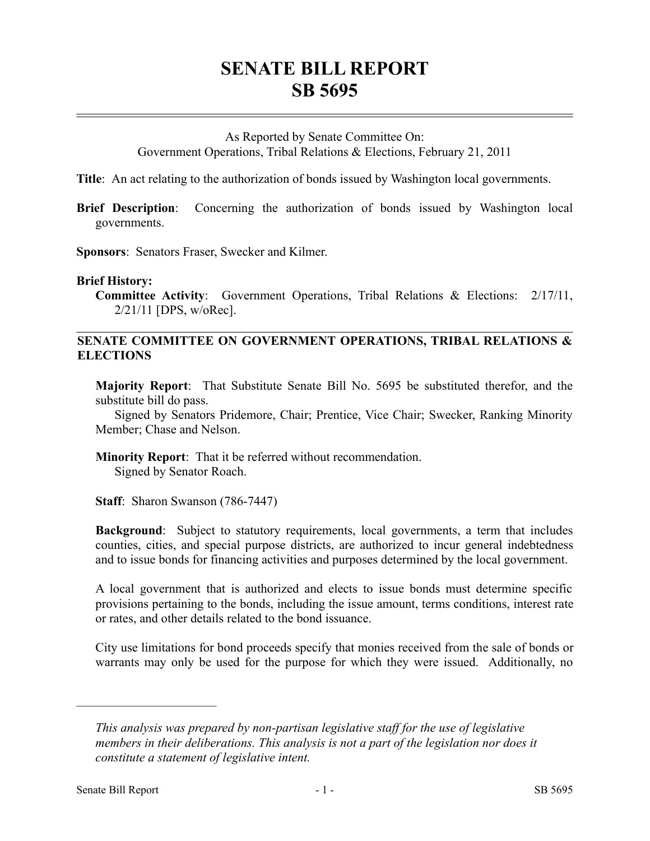## **SENATE BILL REPORT SB 5695**

## As Reported by Senate Committee On:

Government Operations, Tribal Relations & Elections, February 21, 2011

**Title**: An act relating to the authorization of bonds issued by Washington local governments.

**Brief Description**: Concerning the authorization of bonds issued by Washington local governments.

**Sponsors**: Senators Fraser, Swecker and Kilmer.

## **Brief History:**

**Committee Activity**: Government Operations, Tribal Relations & Elections: 2/17/11, 2/21/11 [DPS, w/oRec].

## **SENATE COMMITTEE ON GOVERNMENT OPERATIONS, TRIBAL RELATIONS & ELECTIONS**

**Majority Report**: That Substitute Senate Bill No. 5695 be substituted therefor, and the substitute bill do pass.

Signed by Senators Pridemore, Chair; Prentice, Vice Chair; Swecker, Ranking Minority Member; Chase and Nelson.

**Minority Report**: That it be referred without recommendation. Signed by Senator Roach.

**Staff**: Sharon Swanson (786-7447)

**Background**: Subject to statutory requirements, local governments, a term that includes counties, cities, and special purpose districts, are authorized to incur general indebtedness and to issue bonds for financing activities and purposes determined by the local government.

A local government that is authorized and elects to issue bonds must determine specific provisions pertaining to the bonds, including the issue amount, terms conditions, interest rate or rates, and other details related to the bond issuance.

City use limitations for bond proceeds specify that monies received from the sale of bonds or warrants may only be used for the purpose for which they were issued. Additionally, no

––––––––––––––––––––––

*This analysis was prepared by non-partisan legislative staff for the use of legislative members in their deliberations. This analysis is not a part of the legislation nor does it constitute a statement of legislative intent.*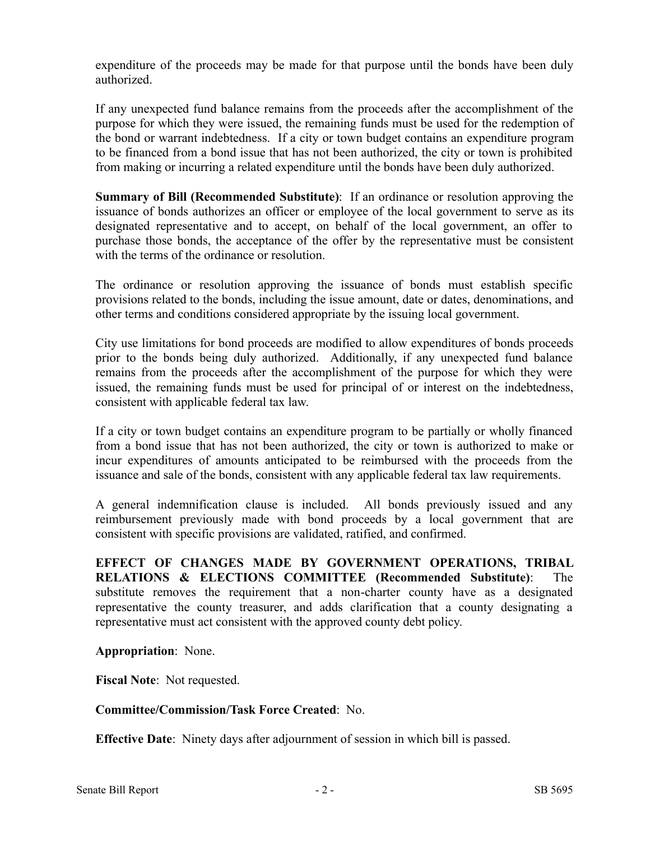expenditure of the proceeds may be made for that purpose until the bonds have been duly authorized.

If any unexpected fund balance remains from the proceeds after the accomplishment of the purpose for which they were issued, the remaining funds must be used for the redemption of the bond or warrant indebtedness. If a city or town budget contains an expenditure program to be financed from a bond issue that has not been authorized, the city or town is prohibited from making or incurring a related expenditure until the bonds have been duly authorized.

**Summary of Bill (Recommended Substitute)**: If an ordinance or resolution approving the issuance of bonds authorizes an officer or employee of the local government to serve as its designated representative and to accept, on behalf of the local government, an offer to purchase those bonds, the acceptance of the offer by the representative must be consistent with the terms of the ordinance or resolution.

The ordinance or resolution approving the issuance of bonds must establish specific provisions related to the bonds, including the issue amount, date or dates, denominations, and other terms and conditions considered appropriate by the issuing local government.

City use limitations for bond proceeds are modified to allow expenditures of bonds proceeds prior to the bonds being duly authorized. Additionally, if any unexpected fund balance remains from the proceeds after the accomplishment of the purpose for which they were issued, the remaining funds must be used for principal of or interest on the indebtedness, consistent with applicable federal tax law.

If a city or town budget contains an expenditure program to be partially or wholly financed from a bond issue that has not been authorized, the city or town is authorized to make or incur expenditures of amounts anticipated to be reimbursed with the proceeds from the issuance and sale of the bonds, consistent with any applicable federal tax law requirements.

A general indemnification clause is included. All bonds previously issued and any reimbursement previously made with bond proceeds by a local government that are consistent with specific provisions are validated, ratified, and confirmed.

**EFFECT OF CHANGES MADE BY GOVERNMENT OPERATIONS, TRIBAL RELATIONS & ELECTIONS COMMITTEE (Recommended Substitute)**: The substitute removes the requirement that a non-charter county have as a designated representative the county treasurer, and adds clarification that a county designating a representative must act consistent with the approved county debt policy.

**Appropriation**: None.

**Fiscal Note**: Not requested.

**Committee/Commission/Task Force Created**: No.

**Effective Date**: Ninety days after adjournment of session in which bill is passed.